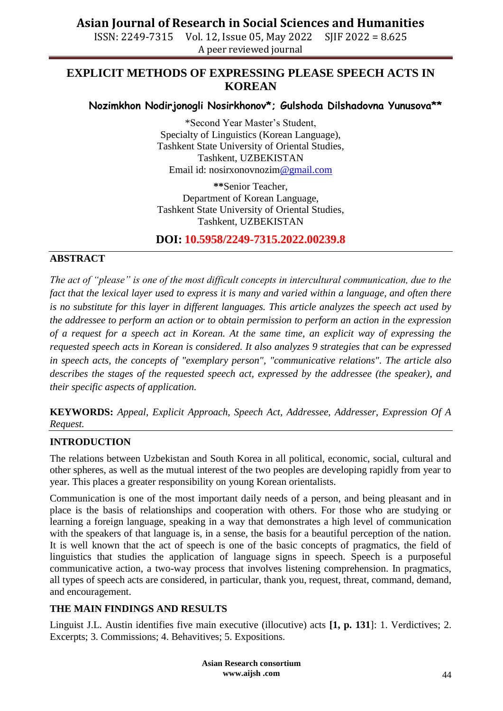ISSN: 2249-7315 Vol. 12, Issue 05, May 2022 SJIF 2022 = 8.625 A peer reviewed journal

## **EXPLICIT METHODS OF EXPRESSING PLEASE SPEECH ACTS IN KOREAN**

## **Nozimkhon Nodirjonogli Nosirkhonov\*; Gulshoda Dilshadovna Yunusova\*\***

\*Second Year Master's Student, Specialty of Linguistics (Korean Language), Tashkent State University of Oriental Studies, Tashkent, UZBEKISTAN Email id: nosirxonovnozi[m@gmail.com](mailto:khidoyatovaaziza@gmail.com)

**\*\***Senior Teacher, Department of Korean Language, Tashkent State University of Oriental Studies, Tashkent, UZBEKISTAN

**DOI: 10.5958/2249-7315.2022.00239.8**

## **ABSTRACT**

*The act of "please" is one of the most difficult concepts in intercultural communication, due to the fact that the lexical layer used to express it is many and varied within a language, and often there is no substitute for this layer in different languages. This article analyzes the speech act used by the addressee to perform an action or to obtain permission to perform an action in the expression of a request for a speech act in Korean. At the same time, an explicit way of expressing the requested speech acts in Korean is considered. It also analyzes 9 strategies that can be expressed in speech acts, the concepts of "exemplary person", "communicative relations". The article also describes the stages of the requested speech act, expressed by the addressee (the speaker), and their specific aspects of application.*

**KEYWORDS:** *Appeal, Explicit Approach, Speech Act, Addressee, Addresser, Expression Of A Request.*

#### **INTRODUCTION**

The relations between Uzbekistan and South Korea in all political, economic, social, cultural and other spheres, as well as the mutual interest of the two peoples are developing rapidly from year to year. This places a greater responsibility on young Korean orientalists.

Communication is one of the most important daily needs of a person, and being pleasant and in place is the basis of relationships and cooperation with others. For those who are studying or learning a foreign language, speaking in a way that demonstrates a high level of communication with the speakers of that language is, in a sense, the basis for a beautiful perception of the nation. It is well known that the act of speech is one of the basic concepts of pragmatics, the field of linguistics that studies the application of language signs in speech. Speech is a purposeful communicative action, a two-way process that involves listening comprehension. In pragmatics, all types of speech acts are considered, in particular, thank you, request, threat, command, demand, and encouragement.

#### **THE MAIN FINDINGS AND RESULTS**

Linguist J.L. Austin identifies five main executive (illocutive) acts **[1, p. 131**]: 1. Verdictives; 2. Excerpts; 3. Commissions; 4. Behavitives; 5. Expositions.

> **Asian Research consortium www.aijsh .com**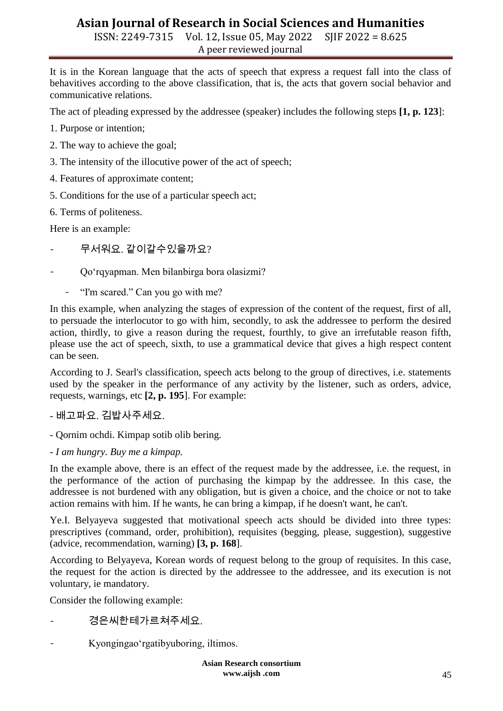ISSN: 2249-7315 Vol. 12, Issue 05, May 2022 SJIF 2022 = 8.625 A peer reviewed journal

It is in the Korean language that the acts of speech that express a request fall into the class of behavitives according to the above classification, that is, the acts that govern social behavior and communicative relations.

The act of pleading expressed by the addressee (speaker) includes the following steps **[1, p. 123**]:

- 1. Purpose or intention;
- 2. The way to achieve the goal;
- 3. The intensity of the illocutive power of the act of speech;
- 4. Features of approximate content;
- 5. Conditions for the use of a particular speech act;
- 6. Terms of politeness.

Here is an example:

- 무서워요. 같이갈수있을까요?
- Qoʻrqyapman. Men bilanbirga bora olasizmi?
	- "I'm scared." Can you go with me?

In this example, when analyzing the stages of expression of the content of the request, first of all, to persuade the interlocutor to go with him, secondly, to ask the addressee to perform the desired action, thirdly, to give a reason during the request, fourthly, to give an irrefutable reason fifth, please use the act of speech, sixth, to use a grammatical device that gives a high respect content can be seen.

According to J. Searl's classification, speech acts belong to the group of directives, i.e. statements used by the speaker in the performance of any activity by the listener, such as orders, advice, requests, warnings, etc **[2, p. 195**]. For example:

## - 배고파요. 김밥사주세요.

- *-* Qornim ochdi. Kimpap sotib olib bering*.*
- *- I am hungry. Buy me a kimpap.*

In the example above, there is an effect of the request made by the addressee, i.e. the request, in the performance of the action of purchasing the kimpap by the addressee. In this case, the addressee is not burdened with any obligation, but is given a choice, and the choice or not to take action remains with him. If he wants, he can bring a kimpap, if he doesn't want, he can't.

Ye.I. Belyayeva suggested that motivational speech acts should be divided into three types: prescriptives (command, order, prohibition), requisites (begging, please, suggestion), suggestive (advice, recommendation, warning) **[3, p. 168**].

According to Belyayeva, Korean words of request belong to the group of requisites. In this case, the request for the action is directed by the addressee to the addressee, and its execution is not voluntary, ie mandatory.

Consider the following example:

- 경은씨한테가르쳐주세요.
- Kyongingaoʻrgatibyuboring, iltimos.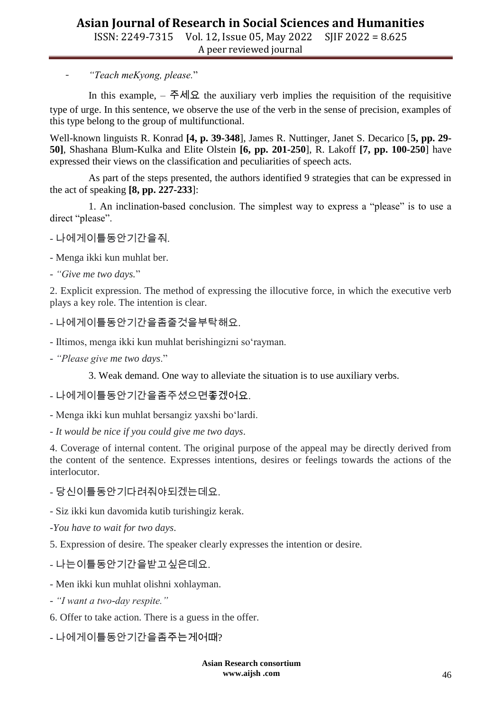## **Asian Journal of Research in Social Sciences and Humanities** ISSN: 2249-7315 Vol. 12, Issue 05, May 2022 SJIF 2022 = 8.625 A peer reviewed journal

- *"Teach meKyong, please.*"

In this example,  $\frac{1}{2}$  the auxiliary verb implies the requisition of the requisitive type of urge. In this sentence, we observe the use of the verb in the sense of precision, examples of this type belong to the group of multifunctional.

Well-known linguists R. Konrad **[4, p. 39-348**], James R. Nuttinger, Janet S. Decarico [**5, pp. 29- 50]**, Shashana Blum-Kulka and Elite Olstein **[6, pp. 201-250**], R. Lakoff **[7, pp. 100-250**] have expressed their views on the classification and peculiarities of speech acts.

As part of the steps presented, the authors identified 9 strategies that can be expressed in the act of speaking **[8, pp. 227-233**]:

1. An inclination-based conclusion. The simplest way to express a "please" is to use a direct "please".

- 나에게이틀동안기간을줘.

- Menga ikki kun muhlat ber.

- *"Give me two days.*"

2. Explicit expression. The method of expressing the illocutive force, in which the executive verb plays a key role. The intention is clear.

- 나에게이틀동안기간을좀줄것을부탁해요.
- Iltimos, menga ikki kun muhlat berishingizni soʻrayman.
- *"Please give me two days*."

3. Weak demand. One way to alleviate the situation is to use auxiliary verbs.

- 나에게이틀동안기간을좀주셨으면좋겠어요.

- Menga ikki kun muhlat bersangiz yaxshi boʻlardi.

- *It would be nice if you could give me two days*.

4. Coverage of internal content. The original purpose of the appeal may be directly derived from the content of the sentence. Expresses intentions, desires or feelings towards the actions of the interlocutor.

- 당신이틀동안기다려줘야되겠는데요.

- Siz ikki kun davomida kutib turishingiz kerak.

- -*You have to wait for two days*.
- 5. Expression of desire. The speaker clearly expresses the intention or desire.

#### - 나는이틀동안기간을받고싶은데요.

- Men ikki kun muhlat olishni xohlayman.
- *"I want a two-day respite."*
- 6. Offer to take action. There is a guess in the offer.

- 나에게이틀동안기간을좀주는게어때?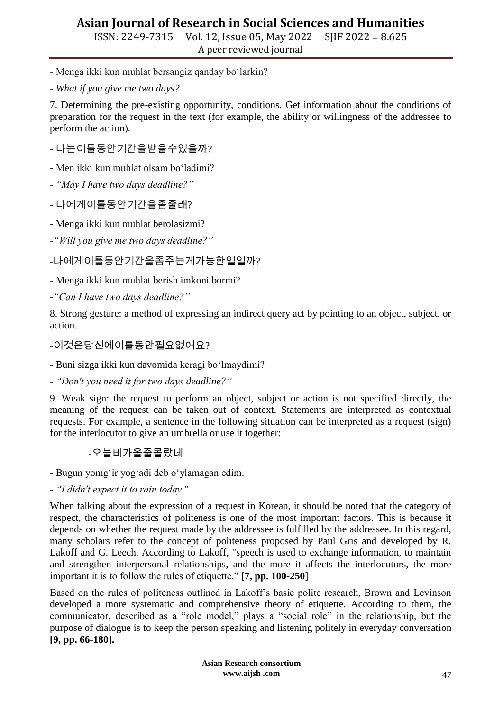ISSN: 2249-7315 Vol. 12, Issue 05, May 2022 SJIF 2022 = 8.625 A peer reviewed journal

- Menga ikki kun muhlat bersangiz qanday boʻlarkin?
- *What if you give me two days?*

7. Determining the pre-existing opportunity, conditions. Get information about the conditions of preparation for the request in the text (for example, the ability or willingness of the addressee to perform the action).

- 나는이틀동안기간을받을수있을까?

- Men ikki kun muhlat olsam boʻladimi?

- *- "May I have two days deadline?"*
- 나에게이틀동안기간을좀줄래?
- Menga ikki kun muhlat berolasizmi?
- *-"Will you give me two days deadline?"*

## -나에게이틀동안기간을좀주는게가능한일일까?

- Menga ikki kun muhlat berish imkoni bormi?
- *-"Can I have two days deadline?"*

8. Strong gesture: a method of expressing an indirect query act by pointing to an object, subject, or action.

### -이것은당신에이틀동안필요없어요?

- Buni sizga ikki kun davomida keragi boʻlmaydimi?

*- "Don't you need it for two days deadline?"*

9. Weak sign: the request to perform an object, subject or action is not specified directly, the meaning of the request can be taken out of context. Statements are interpreted as contextual requests. For example, a sentence in the following situation can be interpreted as a request (sign) for the interlocutor to give an umbrella or use it together:

## -오늘비가올줄몰랐네

- Bugun yomgʻir yogʻadi deb oʻylamagan edim.

- *"I didn't expect it to rain today*."

When talking about the expression of a request in Korean, it should be noted that the category of respect, the characteristics of politeness is one of the most important factors. This is because it depends on whether the request made by the addressee is fulfilled by the addressee. In this regard, many scholars refer to the concept of politeness proposed by Paul Gris and developed by R. Lakoff and G. Leech. According to Lakoff, "speech is used to exchange information, to maintain and strengthen interpersonal relationships, and the more it affects the interlocutors, the more important it is to follow the rules of etiquette." **[7, pp. 100-250**]

Based on the rules of politeness outlined in Lakoff's basic polite research, Brown and Levinson developed a more systematic and comprehensive theory of etiquette. According to them, the communicator, described as a "role model," plays a "social role" in the relationship, but the purpose of dialogue is to keep the person speaking and listening politely in everyday conversation **[9, pp. 66-180].**

> **Asian Research consortium www.aijsh .com**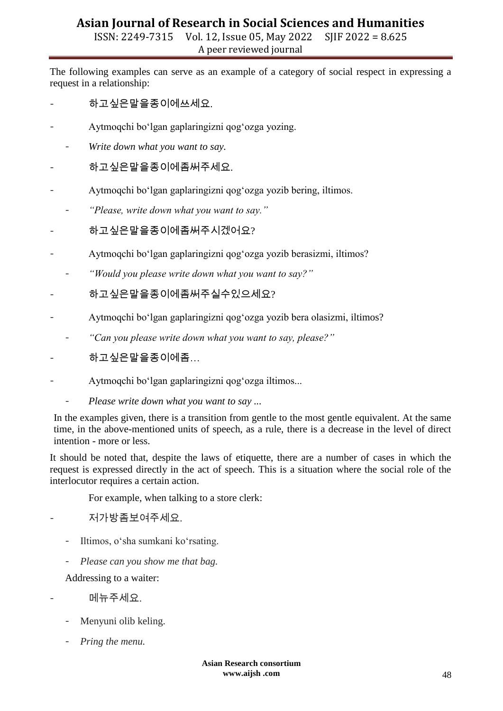ISSN: 2249-7315 Vol. 12, Issue 05, May 2022 SJIF 2022 = 8.625 A peer reviewed journal

The following examples can serve as an example of a category of social respect in expressing a request in a relationship:

- 하고싶은말을종이에쓰세요.
- Aytmoqchi boʻlgan gaplaringizni qogʻozga yozing.
- Write down what you want to say.
- 하고싶은말을종이에좀써주세요.
- Aytmoqchi boʻlgan gaplaringizni qogʻozga yozib bering, iltimos.
- *"Please, write down what you want to say."*
- 하고싶은말을종이에좀써주시겠어요?
- Aytmoqchi boʻlgan gaplaringizni qogʻozga yozib berasizmi, iltimos?
	- *"Would you please write down what you want to say?"*
- 하고싶은말을종이에좀써주실수있으세요?
- Aytmoqchi boʻlgan gaplaringizni qogʻozga yozib bera olasizmi, iltimos?
- *"Can you please write down what you want to say, please?"*
- 하고싶은말을종이에좀…
- Aytmoqchi boʻlgan gaplaringizni qogʻozga iltimos...
	- *Please write down what you want to say ...*

In the examples given, there is a transition from gentle to the most gentle equivalent. At the same time, in the above-mentioned units of speech, as a rule, there is a decrease in the level of direct intention - more or less.

It should be noted that, despite the laws of etiquette, there are a number of cases in which the request is expressed directly in the act of speech. This is a situation where the social role of the interlocutor requires a certain action.

For example, when talking to a store clerk:

- 저가방좀보여주세요.
- Iltimos, oʻsha sumkani koʻrsating.
- *Please can you show me that bag.*

Addressing to a waiter:

- 메뉴주세요.
- Menyuni olib keling.
- *Pring the menu.*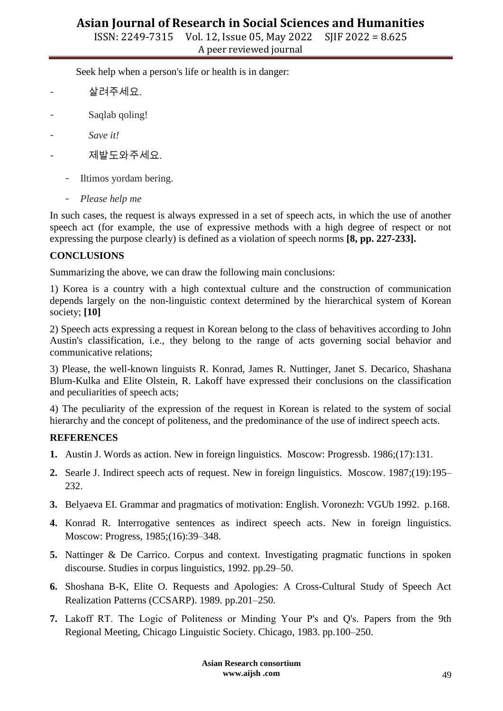ISSN: 2249-7315 Vol. 12, Issue 05, May 2022 SJIF 2022 = 8.625 A peer reviewed journal

Seek help when a person's life or health is in danger:

- 살려주세요.
- Saqlab qoling!
- *Save it!*
- 제발도와주세요.
	- Iltimos yordam bering.
	- *Please help me*

In such cases, the request is always expressed in a set of speech acts, in which the use of another speech act (for example, the use of expressive methods with a high degree of respect or not expressing the purpose clearly) is defined as a violation of speech norms **[8, pp. 227-233].**

#### **CONCLUSIONS**

Summarizing the above, we can draw the following main conclusions:

1) Korea is a country with a high contextual culture and the construction of communication depends largely on the non-linguistic context determined by the hierarchical system of Korean society; **[10]**

2) Speech acts expressing a request in Korean belong to the class of behavitives according to John Austin's classification, i.e., they belong to the range of acts governing social behavior and communicative relations;

3) Please, the well-known linguists R. Konrad, James R. Nuttinger, Janet S. Decarico, Shashana Blum-Kulka and Elite Olstein, R. Lakoff have expressed their conclusions on the classification and peculiarities of speech acts;

4) The peculiarity of the expression of the request in Korean is related to the system of social hierarchy and the concept of politeness, and the predominance of the use of indirect speech acts.

#### **REFERENCES**

- **1.** Austin J. Words as action. New in foreign linguistics. Moscow: Progressb. 1986;(17):131.
- **2.** Searle J. Indirect speech acts of request. New in foreign linguistics. Moscow. 1987;(19):195– 232.
- **3.** Belyaeva EI. Grammar and pragmatics of motivation: English. Voronezh: VGUb 1992. p.168.
- **4.** Konrad R. Interrogative sentences as indirect speech acts. New in foreign linguistics. Moscow: Progress, 1985;(16):39–348.
- **5.** Nattinger & De Carrico. Corpus and context. Investigating pragmatic functions in spoken discourse. Studies in corpus linguistics, 1992. pp.29–50.
- **6.** Shoshana B-K, Elite O. Requests and Apologies: A Cross-Cultural Study of Speech Act Realization Patterns (CCSARP). 1989. pp.201–250.
- **7.** Lakoff RТ. The Logic of Politeness or Minding Your P's and Q's. Papers from the 9th Regional Meeting, Chicago Linguistic Society. Chicago, 1983. pp.100–250.